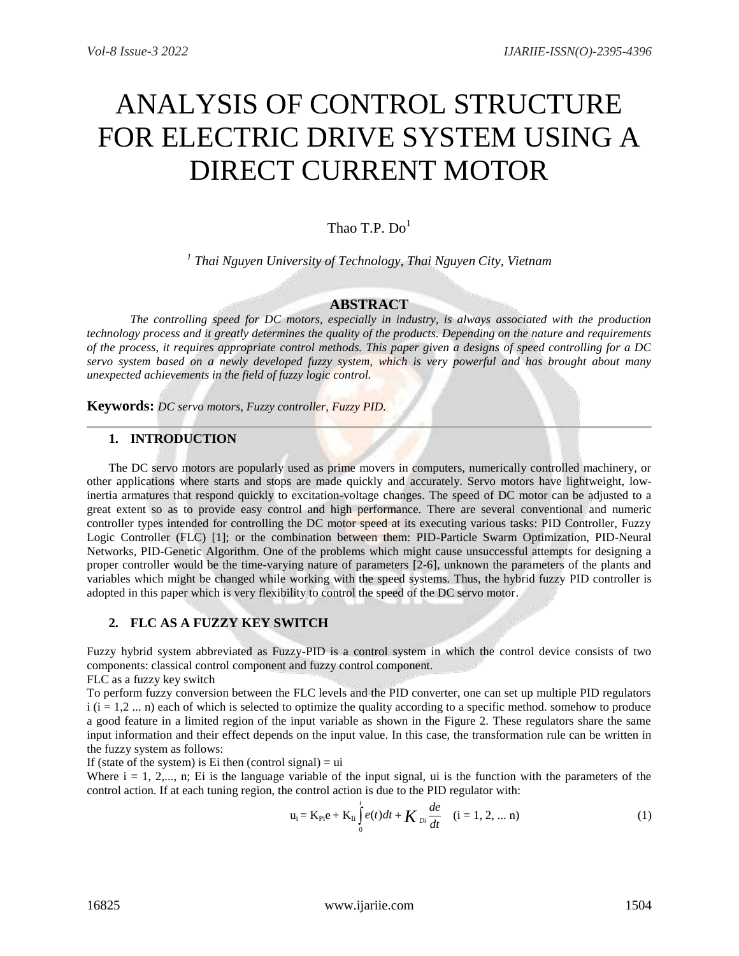# ANALYSIS OF CONTROL STRUCTURE FOR ELECTRIC DRIVE SYSTEM USING A DIRECT CURRENT MOTOR

# Thao T.P.  $Do<sup>1</sup>$

*1 Thai Nguyen University of Technology, Thai Nguyen City, Vietnam*

#### **ABSTRACT**

*The controlling speed for DC motors, especially in industry, is always associated with the production technology process and it greatly determines the quality of the products. Depending on the nature and requirements of the process, it requires appropriate control methods. This paper given a designs of speed controlling for a DC servo system based on a newly developed fuzzy system, which is very powerful and has brought about many unexpected achievements in the field of fuzzy logic control.*

**Keywords:** *DC servo motors, Fuzzy controller, Fuzzy PID.*

# **1. INTRODUCTION**

The DC servo motors are popularly used as prime movers in computers, numerically controlled machinery, or other applications where starts and stops are made quickly and accurately. Servo motors have lightweight, lowinertia armatures that respond quickly to excitation-voltage changes. The speed of DC motor can be adjusted to a great extent so as to provide easy control and high performance. There are several conventional and numeric controller types intended for controlling the DC motor speed at its executing various tasks: PID Controller, Fuzzy Logic Controller (FLC) [1]; or the combination between them: PID-Particle Swarm Optimization, PID-Neural Networks, PID-Genetic Algorithm. One of the problems which might cause unsuccessful attempts for designing a proper controller would be the time-varying nature of parameters [2-6], unknown the parameters of the plants and variables which might be changed while working with the speed systems. Thus, the hybrid fuzzy PID controller is adopted in this paper which is very flexibility to control the speed of the DC servo motor.

#### **2. FLC AS A FUZZY KEY SWITCH**

Fuzzy hybrid system abbreviated as Fuzzy-PID is a control system in which the control device consists of two components: classical control component and fuzzy control component.

FLC as a fuzzy key switch

To perform fuzzy conversion between the FLC levels and the PID converter, one can set up multiple PID regulators  $i$  ( $i = 1,2, \ldots$  n) each of which is selected to optimize the quality according to a specific method. somehow to produce a good feature in a limited region of the input variable as shown in the Figure 2. These regulators share the same input information and their effect depends on the input value. In this case, the transformation rule can be written in the fuzzy system as follows:

If (state of the system) is Ei then (control signal)  $=$  ui

Where  $i = 1, 2,..., n$ ; Ei is the language variable of the input signal, ui is the function with the parameters of the control action. If at each tuning region, the control action is due to the PID regulator with:

$$
u_i = K_{Pi} e + K_{Ii} \int_0^t e(t)dt + K_{Di} \frac{de}{dt} \quad (i = 1, 2, ... n)
$$
 (1)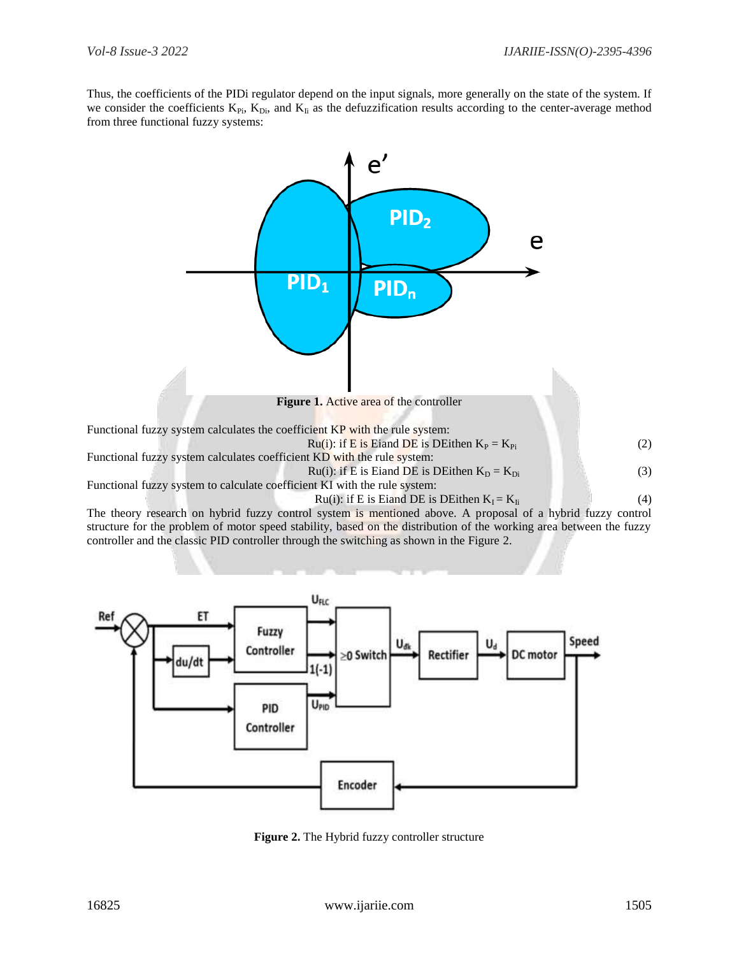Thus, the coefficients of the PIDi regulator depend on the input signals, more generally on the state of the system. If we consider the coefficients  $K_{Pi}$ ,  $K_{Di}$ , and  $K_{Ii}$  as the defuzzification results according to the center-average method from three functional fuzzy systems:



The theory research on hybrid fuzzy control system is mentioned above. A proposal of a hybrid fuzzy control structure for the problem of motor speed stability, based on the distribution of the working area between the fuzzy controller and the classic PID controller through the switching as shown in the Figure 2.



**Figure 2.** The Hybrid fuzzy controller structure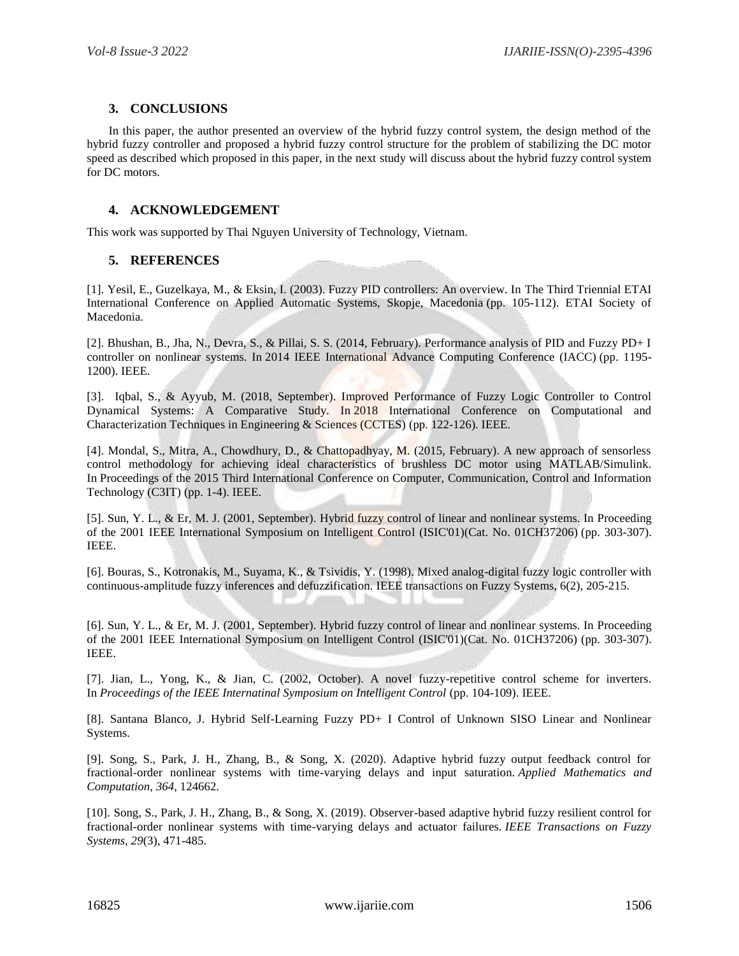# **3. CONCLUSIONS**

In this paper, the author presented an overview of the hybrid fuzzy control system, the design method of the hybrid fuzzy controller and proposed a hybrid fuzzy control structure for the problem of stabilizing the DC motor speed as described which proposed in this paper, in the next study will discuss about the hybrid fuzzy control system for DC motors.

# **4. ACKNOWLEDGEMENT**

This work was supported by Thai Nguyen University of Technology, Vietnam.

# **5. REFERENCES**

[1]. Yesil, E., Guzelkaya, M., & Eksin, I. (2003). Fuzzy PID controllers: An overview. In The Third Triennial ETAI International Conference on Applied Automatic Systems, Skopje, Macedonia (pp. 105-112). ETAI Society of Macedonia.

[2]. Bhushan, B., Jha, N., Devra, S., & Pillai, S. S. (2014, February). Performance analysis of PID and Fuzzy PD+ I controller on nonlinear systems. In 2014 IEEE International Advance Computing Conference (IACC) (pp. 1195- 1200). IEEE.

[3]. Iqbal, S., & Ayyub, M. (2018, September). Improved Performance of Fuzzy Logic Controller to Control Dynamical Systems: A Comparative Study. In 2018 International Conference on Computational and Characterization Techniques in Engineering & Sciences (CCTES) (pp. 122-126). IEEE.

[4]. Mondal, S., Mitra, A., Chowdhury, D., & Chattopadhyay, M. (2015, February). A new approach of sensorless control methodology for achieving ideal characteristics of brushless DC motor using MATLAB/Simulink. In Proceedings of the 2015 Third International Conference on Computer, Communication, Control and Information Technology (C3IT) (pp. 1-4). IEEE.

[5]. Sun, Y. L., & Er, M. J. (2001, September). Hybrid fuzzy control of linear and nonlinear systems. In Proceeding of the 2001 IEEE International Symposium on Intelligent Control (ISIC'01)(Cat. No. 01CH37206) (pp. 303-307). IEEE.

[6]. Bouras, S., Kotronakis, M., Suyama, K., & Tsividis, Y. (1998). Mixed analog-digital fuzzy logic controller with continuous-amplitude fuzzy inferences and defuzzification. IEEE transactions on Fuzzy Systems, 6(2), 205-215.

[6]. Sun, Y. L., & Er, M. J. (2001, September). Hybrid fuzzy control of linear and nonlinear systems. In Proceeding of the 2001 IEEE International Symposium on Intelligent Control (ISIC'01)(Cat. No. 01CH37206) (pp. 303-307). IEEE.

[7]. Jian, L., Yong, K., & Jian, C. (2002, October). A novel fuzzy-repetitive control scheme for inverters. In *Proceedings of the IEEE Internatinal Symposium on Intelligent Control* (pp. 104-109). IEEE.

[8]. Santana Blanco, J. Hybrid Self-Learning Fuzzy PD+ I Control of Unknown SISO Linear and Nonlinear Systems.

[9]. Song, S., Park, J. H., Zhang, B., & Song, X. (2020). Adaptive hybrid fuzzy output feedback control for fractional-order nonlinear systems with time-varying delays and input saturation. *Applied Mathematics and Computation*, *364*, 124662.

[10]. Song, S., Park, J. H., Zhang, B., & Song, X. (2019). Observer-based adaptive hybrid fuzzy resilient control for fractional-order nonlinear systems with time-varying delays and actuator failures. *IEEE Transactions on Fuzzy Systems*, *29*(3), 471-485.